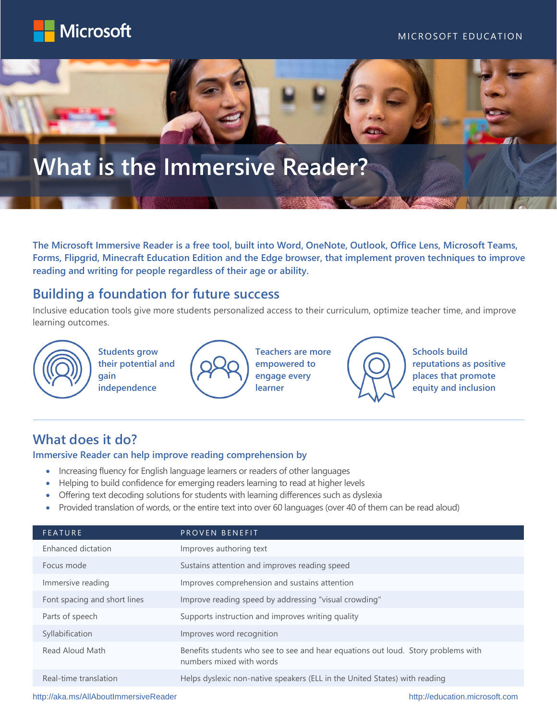





**The Microsoft Immersive Reader is a free tool, built into Word, OneNote, Outlook, Office Lens, Microsoft Teams, Forms, Flipgrid, Minecraft Education Edition and the Edge browser, that implement proven techniques to improve reading and writing for people regardless of their age or ability.**

### **Building a foundation for future success**

Inclusive education tools give more students personalized access to their curriculum, optimize teacher time, and improve learning outcomes.



**Students grow their potential and gain** 

**independence**



**Teachers are more empowered to engage every learner**



**Schools build reputations as positive places that promote equity and inclusion**

# **What does it do?**

#### **Immersive Reader can help improve reading comprehension by**

- Increasing fluency for English language learners or readers of other languages
- Helping to build confidence for emerging readers learning to read at higher levels
- Offering text decoding solutions for students with learning differences such as dyslexia
- Provided translation of words, or the entire text into over 60 languages (over 40 of them can be read aloud)

| <b>FEATURE</b>               | PROVEN BENEFIT                                                                                                |
|------------------------------|---------------------------------------------------------------------------------------------------------------|
| Enhanced dictation           | Improves authoring text                                                                                       |
| Focus mode                   | Sustains attention and improves reading speed                                                                 |
| Immersive reading            | Improves comprehension and sustains attention                                                                 |
| Font spacing and short lines | Improve reading speed by addressing "visual crowding"                                                         |
| Parts of speech              | Supports instruction and improves writing quality                                                             |
| Syllabification              | Improves word recognition                                                                                     |
| Read Aloud Math              | Benefits students who see to see and hear equations out loud. Story problems with<br>numbers mixed with words |
| Real-time translation        | Helps dyslexic non-native speakers (ELL in the United States) with reading                                    |

<http://aka.ms/AllAboutImmersiveReader> [http://education.microsoft.com](http://education.microsoft.com/)